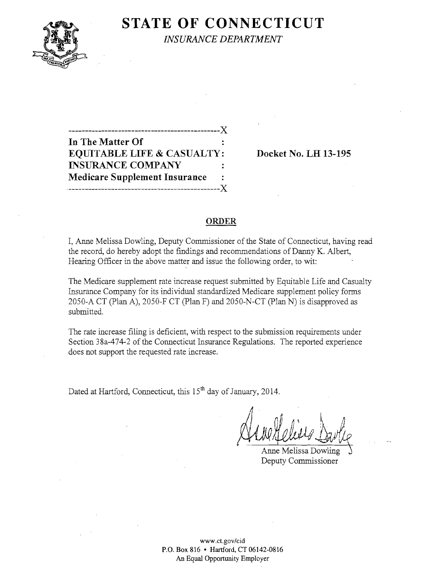

# **STATE OF CONNECTICUT**

*INSURANCE DEPARTMENT* 

----------------------------------------------J( **In** The Matter Of EQUITABLE LIFE & CASUALTY: Docket No. LH 13-195 INSURANCE COMPANY Medicare Supplement Insurance -----------------------------------------------J(

#### ORDER

I, Anne Melissa Dowling, Deputy Commissioner of the State of Connecticut, having read the record, do hereby adopt the findings and recommendations of Danny K. Albert, Hearing Officer in the above matter and issue the following order, to wit:

The Medicare supplement rate increase request submitted by Equitable Life and Casualty Insurance Company for its individual standardized Medicare supplement policy forms 2050-A CT (plan A), 2050-F CT (plan F) and 2050-N-CT (plan N) is disapproved as submitted.

The rate increase filing is deficient, with respect to the submission requirements under Section 38a-474-2 of the Connecticut Insurance Regulations. The reported experience does not support the requested rate increase.

Dated at Hartford, Connecticut, this 15<sup>th</sup> day of January, 2014.

Anne Melissa Dowling Deputy Commissioner

www.ct.gov/cid P.O. Box 816 • Hartford, CT 06142-0816 An Equal Opportunity Employer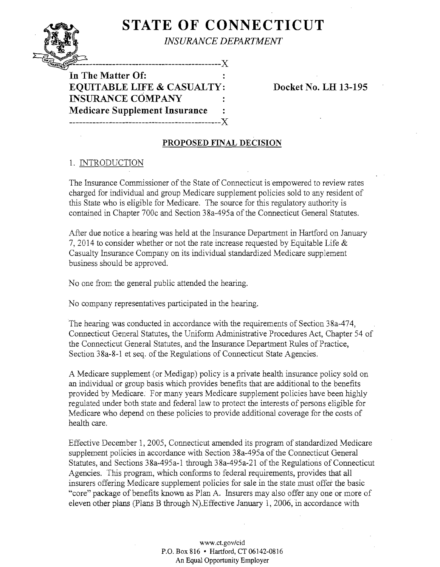## **STATE OF CONNECTICUT**  *INSURANCE DEPARTMENT*

 $\frac{1}{2}$ In The Matter Of: **EQUITABLE LIfE & CASUALTY: Docket No. LH 13-195 INSURANCE COMPANY Medicare Supplement Insurance ----------------------------------------------J(** 

### **PROPOSED FINAL DECISION**

## 1. INTRODUCTION

The Insurance Commissioner of the State of Connecticut is empowered to review rates charged for individual and group Medicare supplement policies sold to any resident of this State who is eligible for Medicare. The source for this regulatory authority is contained in Chapter 700c and Section 38a-495a of the Connecticut General Statutes.

After due notice a hearing was held at the Insurance Department in Hartford on January 7, 2014 to consider whether or not the rate increase requested by Equitable Life  $\&$ Casualty Insurance Company on its individual standardized Medicare supplement business should be approved.

No one from the general public attended the hearing.

No company representatives participated in the hearing.

The hearing was conducted in accordance with the requirements of Section 38a-474, Connecticut General Statutes, the Uniform Administrative Procedures Act, Chapter 54 of the Connecticut General Statutes, and the Insurance Department Rules of Practice, Section 38a-8-1 et seq. of the Regulations of Connecticut State Agencies.

A Medicare supplement (or Medigap) policy is a private health insurance policy sold on an individual or group basis which provides benefits that are additional to the benefits provided by Medicare. For many years Medicare supplement policies have been highly regulated under both state and federal law to protect the interests of persons eligible for Medicare who depend on these policies to provide additional coverage for the costs of health care.

Effective December 1, 2005, Connecticut amended its program of standardized Medicare supplement policies in accordance with Section 38a-495a of the Connecticut General Statutes, and Sections 38a-495a-1 through 38a-495a-21 of the Regulations of Connecticut Agencies. This program, which conforms to federal requirements, provides that all insurers offering Medicare supplement policies for sale in the state must offer the basic "core" package of benefits known as Plan A. Insurers may also offer any one or more of eleven other plans (plans B through N).Effective January 1, 2006, in accordance with

> www.ct.gov/cid P.O. Box 816 • Hartford, CT 06142-0816 An Equal Opportunity Employer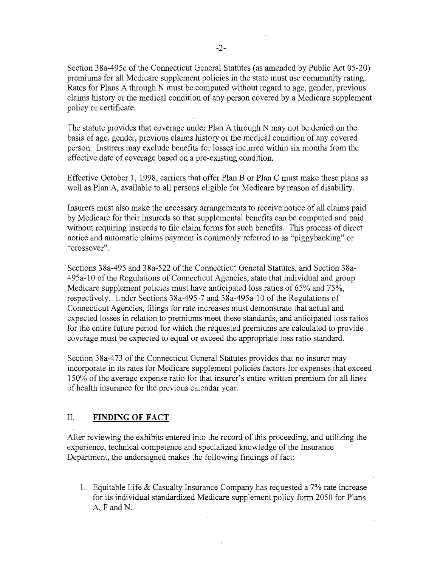Section 38a-495c of the Connecticut General Statutes (as amended by Public Act 05-20) premiums for all Medicare supplement policies in the state must use community rating. Rates for Plans A through N must be computed without regard to age, gender, previous claims history or the medical condition of any person covered by a Medicare supplement policy or certificate.

The statute provides that coverage under Plan A through N may not be denied on the basis of age, gender, previous claims history or the medical condition of any covered person. Insurers may exclude benefits for losses incurred within six months from the effective date of coverage based on a pre-existing condition.

Effective October 1, 1998, carriers that offer Plan B or Plan C must make these plans as well as Plan A, available to all persons eligible for Medicare by reason of disability.

Insurers must also make the necessary arrangements to receive notice of all claims paid by Medicare for their insureds so that supplemental benefits can be computed and paid without requiring insureds to file claim forms for such benefits. This process of direct notice and automatic claims payment is commonly referred to as "piggybacking" or "crossover".

Sections 38a-495 and 38a-522 of the Connecticut General Statutes, and Section 38a-495a-10 of the Regulations of Connecticut Agencies, state that individual and group Medicare supplement policies must have anticipated loss ratios of 65% and 75%, respectively. Under Sections 38a-495-7 and 38a-495a-10 of the Regulations of Connecticut Agencies, filings for rate increases must demonstrate that actual and expected losses in relation to premiums meet these standards, and anticipated loss ratios for the entire future period for which the requested premiums are calculated to provide coverage must be expected to equal or exceed the appropriate loss ratio standard.

Section 38a-473 of the Connecticut General Statutes provides that no insurer may incorporate in its rates for Medicare supplement policies factors for expenses that exceed 150% of the average expense ratio for that insurer's entire written premium for all lines of health insurance for the previous calendar year.

#### II. **FINDING OF FACT**

After reviewing the exhibits entered into the record of this proceeding, and utilizing the experience, technical competence and specialized knowledge of the Insurance Department, the undersigned makes the following findings of fact:

1. Equitable Life & Casualty Insurance Company has requested a  $7\%$  rate increase for its individual standardized Medicare supplement policy form 2050 for Plans A, F and N.